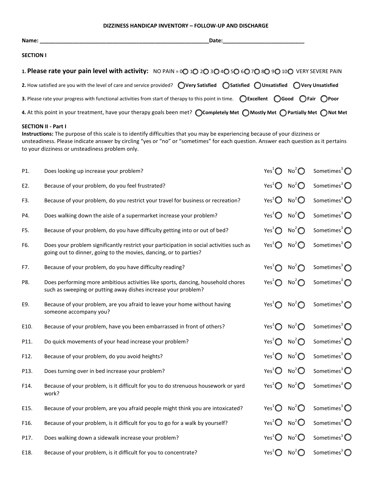## **DIZZINESS HANDICAP INVENTORY – FOLLOW-UP AND DISCHARGE**

| Name: $\_\_$                                                                                                                                                              | Date: |
|---------------------------------------------------------------------------------------------------------------------------------------------------------------------------|-------|
| <b>SECTION I</b>                                                                                                                                                          |       |
| 1. Please rate your pain level with activity: NO PAIN = 00 10 20 30 40 50 60 70 80 90 100 VERY SEVERE PAIN                                                                |       |
| 2. How satisfied are you with the level of care and service provided? $\bigcirc$ Very Satisfied $\bigcirc$ Satisfied $\bigcirc$ Unsatisfied $\bigcirc$ Very Unsatisfied   |       |
| 3. Please rate your progress with functional activities from start of therapy to this point in time. $\bigcirc$ Excellent $\bigcirc$ Good $\bigcirc$ Fair $\bigcirc$ Poor |       |
| 4. At this point in your treatment, have your therapy goals been met? $\bigcirc$ Completely Met $\bigcirc$ Mostly Met $\bigcirc$ Partially Met $\bigcirc$ Not Met         |       |
|                                                                                                                                                                           |       |

## **SECTION II - Part I**

**Instructions:** The purpose of this scale is to identify difficulties that you may be experiencing because of your dizziness or unsteadiness. Please indicate answer by circling "yes or "no" or "sometimes" for each question. Answer each question as it pertains to your dizziness or unsteadiness problem only.

| P1.  | Does looking up increase your problem?                                                                                                                        | Yes <sup>1</sup> $\bigcirc$                            | No <sup>2</sup> | Sometimes <sup>3</sup> $\bigcirc$ |
|------|---------------------------------------------------------------------------------------------------------------------------------------------------------------|--------------------------------------------------------|-----------------|-----------------------------------|
| E2.  | Because of your problem, do you feel frustrated?                                                                                                              | Yes <sup>1</sup> $\bigcirc$                            | No <sup>2</sup> | Sometimes <sup>3</sup> $\bigcirc$ |
| F3.  | Because of your problem, do you restrict your travel for business or recreation?                                                                              | Yes <sup>1</sup> $\bigcirc$                            | No <sup>2</sup> | Sometimes <sup>3</sup> $\bigcirc$ |
| P4.  | Does walking down the aisle of a supermarket increase your problem?                                                                                           | Yes <sup>1</sup> $\bigcirc$                            | No <sup>2</sup> | Sometimes <sup>3</sup> $\bigcirc$ |
| F5.  | Because of your problem, do you have difficulty getting into or out of bed?                                                                                   | Yes <sup>1</sup> $\bigcirc$                            | No <sup>2</sup> | Sometimes <sup>3</sup> $\bigcirc$ |
| F6.  | Does your problem significantly restrict your participation in social activities such as<br>going out to dinner, going to the movies, dancing, or to parties? | Yes <sup>1</sup> $\bigcirc$                            | No <sup>2</sup> | Sometimes <sup>3</sup> $\bigcirc$ |
| F7.  | Because of your problem, do you have difficulty reading?                                                                                                      | Yes <sup>1</sup> $\bigcap$                             | No <sup>2</sup> | Sometimes <sup>3</sup> $\bigcap$  |
| P8.  | Does performing more ambitious activities like sports, dancing, household chores<br>such as sweeping or putting away dishes increase your problem?            | Yes <sup>1</sup> $\bigcap$                             | No <sup>2</sup> | Sometimes <sup>3</sup> $\bigcirc$ |
| E9.  | Because of your problem, are you afraid to leave your home without having<br>someone accompany you?                                                           | Yes <sup>1</sup> $\bigcap$                             | No <sup>2</sup> | Sometimes <sup>3</sup> $\bigcirc$ |
| E10. | Because of your problem, have you been embarrassed in front of others?                                                                                        | Yes <sup>1</sup> $\bigcirc$                            | No <sup>2</sup> | Sometimes <sup>3</sup> $\bigcirc$ |
| P11. | Do quick movements of your head increase your problem?                                                                                                        | Yes <sup>1</sup> $\bigcirc$                            | No <sup>2</sup> | Sometimes <sup>3</sup> $\bigcirc$ |
| F12. | Because of your problem, do you avoid heights?                                                                                                                | Yes <sup>1</sup> $\bigcirc$                            | No <sup>2</sup> | Sometimes <sup>3</sup> $\bigcirc$ |
| P13. | Does turning over in bed increase your problem?                                                                                                               | Yes <sup>1</sup> $\bigcirc$                            | No <sup>2</sup> | Sometimes <sup>3</sup> $\bigcirc$ |
| F14. | Because of your problem, is it difficult for you to do strenuous housework or yard<br>work?                                                                   | Yes <sup>1</sup> $\bigcirc$                            | No <sup>2</sup> | Sometimes <sup>3</sup> $\bigcirc$ |
| E15. | Because of your problem, are you afraid people might think you are intoxicated?                                                                               | Yes <sup>1</sup> $\bigcirc$                            | No <sup>2</sup> | Sometimes <sup>3</sup> $\bigcirc$ |
| F16. | Because of your problem, is it difficult for you to go for a walk by yourself?                                                                                | Yes <sup>1</sup> $\bigcirc$                            | No <sup>2</sup> | Sometimes <sup>3</sup> $\bigcirc$ |
| P17. | Does walking down a sidewalk increase your problem?                                                                                                           | Yes <sup>1</sup> $\bigcirc$                            | No <sup>2</sup> | Sometimes <sup>3</sup> $\bigcirc$ |
| E18. | Because of your problem, is it difficult for you to concentrate?                                                                                              | Yes <sup>1</sup> $\bigcirc$ No <sup>2</sup> $\bigcirc$ |                 | Sometimes <sup>3</sup> $\bigcirc$ |